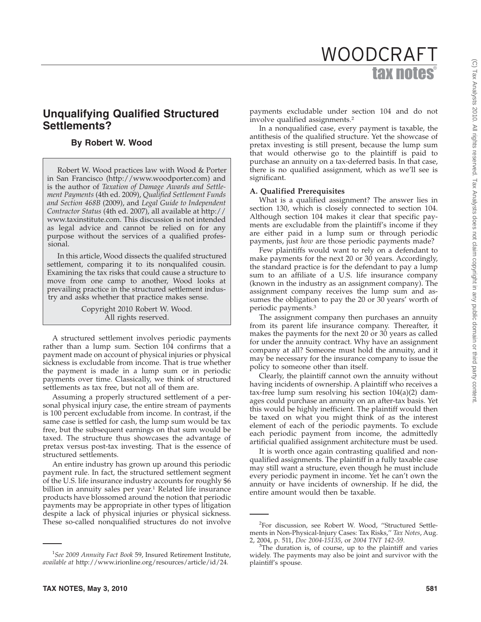# tax not WOODCRAFT

# **Unqualifying Qualified Structured Settlements?**

# **By Robert W. Wood**

Robert W. Wood practices law with Wood & Porter in San Francisco (http://www.woodporter.com) and is the author of *Taxation of Damage Awards and Settlement Payments* (4th ed. 2009), *Qualified Settlement Funds and Section 468B* (2009), and *Legal Guide to Independent Contractor Status* (4th ed. 2007), all available at http:// www.taxinstitute.com. This discussion is not intended as legal advice and cannot be relied on for any purpose without the services of a qualified professional.

In this article, Wood dissects the qualifed structured settlement, comparing it to its nonqualifed cousin. Examining the tax risks that could cause a structure to move from one camp to another, Wood looks at prevailing practice in the structured settlement industry and asks whether that practice makes sense.

> Copyright 2010 Robert W. Wood. All rights reserved.

A structured settlement involves periodic payments rather than a lump sum. Section 104 confirms that a payment made on account of physical injuries or physical sickness is excludable from income. That is true whether the payment is made in a lump sum or in periodic payments over time. Classically, we think of structured settlements as tax free, but not all of them are.

Assuming a properly structured settlement of a personal physical injury case, the entire stream of payments is 100 percent excludable from income. In contrast, if the same case is settled for cash, the lump sum would be tax free, but the subsequent earnings on that sum would be taxed. The structure thus showcases the advantage of pretax versus post-tax investing. That is the essence of structured settlements.

An entire industry has grown up around this periodic payment rule. In fact, the structured settlement segment of the U.S. life insurance industry accounts for roughly \$6 billion in annuity sales per year.<sup>1</sup> Related life insurance products have blossomed around the notion that periodic payments may be appropriate in other types of litigation despite a lack of physical injuries or physical sickness. These so-called nonqualified structures do not involve payments excludable under section 104 and do not involve qualified assignments.2

In a nonqualified case, every payment is taxable, the antithesis of the qualified structure. Yet the showcase of pretax investing is still present, because the lump sum that would otherwise go to the plaintiff is paid to purchase an annuity on a tax-deferred basis. In that case, there is no qualified assignment, which as we'll see is significant.

### **A. Qualified Prerequisites**

What is a qualified assignment? The answer lies in section 130, which is closely connected to section 104. Although section 104 makes it clear that specific payments are excludable from the plaintiff's income if they are either paid in a lump sum or through periodic payments, just *how* are those periodic payments made?

Few plaintiffs would want to rely on a defendant to make payments for the next 20 or 30 years. Accordingly, the standard practice is for the defendant to pay a lump sum to an affiliate of a U.S. life insurance company (known in the industry as an assignment company). The assignment company receives the lump sum and assumes the obligation to pay the 20 or 30 years' worth of periodic payments.3

The assignment company then purchases an annuity from its parent life insurance company. Thereafter, it makes the payments for the next 20 or 30 years as called for under the annuity contract. Why have an assignment company at all? Someone must hold the annuity, and it may be necessary for the insurance company to issue the policy to someone other than itself.

Clearly, the plaintiff cannot own the annuity without having incidents of ownership. A plaintiff who receives a tax-free lump sum resolving his section 104(a)(2) damages could purchase an annuity on an after-tax basis. Yet this would be highly inefficient. The plaintiff would then be taxed on what you might think of as the interest element of each of the periodic payments. To exclude each periodic payment from income, the admittedly artificial qualified assignment architecture must be used.

It is worth once again contrasting qualified and nonqualified assignments. The plaintiff in a fully taxable case may still want a structure, even though he must include every periodic payment in income. Yet he can't own the annuity or have incidents of ownership. If he did, the entire amount would then be taxable.

<sup>1</sup> *See 2009 Annuity Fact Book* 59, Insured Retirement Institute, *available at* http://www.irionline.org/resources/article/id/24.

<sup>&</sup>lt;sup>2</sup>For discussion, see Robert W. Wood, "Structured Settlements in Non-Physical-Injury Cases: Tax Risks,'' *Tax Notes*, Aug. 2, 2004, p. 511, *Doc 2004-15135*, or *2004 TNT 142-59*. <sup>3</sup>

 $3$ The duration is, of course, up to the plaintiff and varies widely. The payments may also be joint and survivor with the plaintiff's spouse.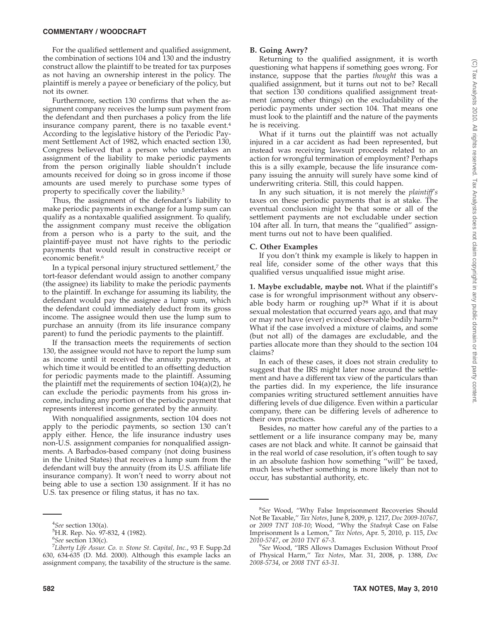### **COMMENTARY / WOODCRAFT**

For the qualified settlement and qualified assignment, the combination of sections 104 and 130 and the industry construct allow the plaintiff to be treated for tax purposes as not having an ownership interest in the policy. The plaintiff is merely a payee or beneficiary of the policy, but not its owner.

Furthermore, section 130 confirms that when the assignment company receives the lump sum payment from the defendant and then purchases a policy from the life insurance company parent, there is no taxable event.<sup>4</sup> According to the legislative history of the Periodic Payment Settlement Act of 1982, which enacted section 130, Congress believed that a person who undertakes an assignment of the liability to make periodic payments from the person originally liable shouldn't include amounts received for doing so in gross income if those amounts are used merely to purchase some types of property to specifically cover the liability.5

Thus, the assignment of the defendant's liability to make periodic payments in exchange for a lump sum can qualify as a nontaxable qualified assignment. To qualify, the assignment company must receive the obligation from a person who is a party to the suit, and the plaintiff-payee must not have rights to the periodic payments that would result in constructive receipt or economic benefit.<sup>6</sup>

In a typical personal injury structured settlement,<sup>7</sup> the tort-feasor defendant would assign to another company (the assignee) its liability to make the periodic payments to the plaintiff. In exchange for assuming its liability, the defendant would pay the assignee a lump sum, which the defendant could immediately deduct from its gross income. The assignee would then use the lump sum to purchase an annuity (from its life insurance company parent) to fund the periodic payments to the plaintiff.

If the transaction meets the requirements of section 130, the assignee would not have to report the lump sum as income until it received the annuity payments, at which time it would be entitled to an offsetting deduction for periodic payments made to the plaintiff. Assuming the plaintiff met the requirements of section 104(a)(2), he can exclude the periodic payments from his gross income, including any portion of the periodic payment that represents interest income generated by the annuity.

With nonqualified assignments, section 104 does not apply to the periodic payments, so section 130 can't apply either. Hence, the life insurance industry uses non-U.S. assignment companies for nonqualified assignments. A Barbados-based company (not doing business in the United States) that receives a lump sum from the defendant will buy the annuity (from its U.S. affiliate life insurance company). It won't need to worry about not being able to use a section 130 assignment. If it has no U.S. tax presence or filing status, it has no tax.

#### **B. Going Awry?**

Returning to the qualified assignment, it is worth questioning what happens if something goes wrong. For instance, suppose that the parties *thought* this was a qualified assignment, but it turns out not to be? Recall that section 130 conditions qualified assignment treatment (among other things) on the excludability of the periodic payments under section 104. That means one must look to the plaintiff and the nature of the payments he is receiving.

What if it turns out the plaintiff was not actually injured in a car accident as had been represented, but instead was receiving lawsuit proceeds related to an action for wrongful termination of employment? Perhaps this is a silly example, because the life insurance company issuing the annuity will surely have some kind of underwriting criteria. Still, this could happen.

In any such situation, it is not merely the *plaintiff's* taxes on these periodic payments that is at stake. The eventual conclusion might be that some or all of the settlement payments are not excludable under section 104 after all. In turn, that means the ''qualified'' assignment turns out not to have been qualified.

#### **C. Other Examples**

If you don't think my example is likely to happen in real life, consider some of the other ways that this qualified versus unqualified issue might arise.

**1. Maybe excludable, maybe not.** What if the plaintiff's case is for wrongful imprisonment without any observable body harm or roughing up?8 What if it is about sexual molestation that occurred years ago, and that may or may not have (ever) evinced observable bodily harm?<sup>9</sup> What if the case involved a mixture of claims, and some (but not all) of the damages are excludable, and the parties allocate more than they should to the section 104 claims?

In each of these cases, it does not strain credulity to suggest that the IRS might later nose around the settlement and have a different tax view of the particulars than the parties did. In my experience, the life insurance companies writing structured settlement annuities have differing levels of due diligence. Even within a particular company, there can be differing levels of adherence to their own practices.

Besides, no matter how careful any of the parties to a settlement or a life insurance company may be, many cases are not black and white. It cannot be gainsaid that in the real world of case resolution, it's often tough to say in an absolute fashion how something ''will'' be taxed, much less whether something is more likely than not to occur, has substantial authority, etc.

<sup>&</sup>lt;sup>4</sup>*See* section 130(a).<br><sup>5</sup>H R Rep No. 97-

<sup>&</sup>lt;sup>5</sup>H.R. Rep. No. 97-832, 4 (1982).

<sup>&</sup>lt;sup>6</sup>See section 130(c).<br><sup>7</sup>I ihertu Life Assur

*Liberty Life Assur. Co. v. Stone St. Capital, Inc.*, 93 F. Supp.2d 630, 634-635 (D. Md. 2000). Although this example lacks an assignment company, the taxability of the structure is the same.

<sup>8</sup> *See* Wood, ''Why False Imprisonment Recoveries Should Not Be Taxable,'' *Tax Notes*, June 8, 2009, p. 1217, *Doc 2009-10767*, or *2009 TNT 108-10*; Wood, ''Why the *Stadnyk* Case on False Imprisonment Is a Lemon,'' *Tax Notes*, Apr. 5, 2010, p. 115, *Doc 2010-5747*, or *2010 TNT 67-3*. <sup>9</sup>

*See* Wood, ''IRS Allows Damages Exclusion Without Proof of Physical Harm,'' *Tax Notes*, Mar. 31, 2008, p. 1388, *Doc 2008-5734*, or *2008 TNT 63-31*.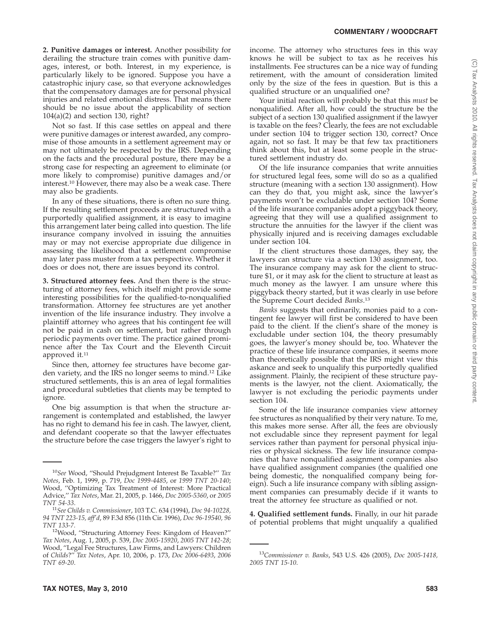**2. Punitive damages or interest.** Another possibility for derailing the structure train comes with punitive damages, interest, or both. Interest, in my experience, is particularly likely to be ignored. Suppose you have a catastrophic injury case, so that everyone acknowledges that the compensatory damages are for personal physical injuries and related emotional distress. That means there should be no issue about the applicability of section 104(a)(2) and section 130, right?

Not so fast. If this case settles on appeal and there were punitive damages or interest awarded, any compromise of those amounts in a settlement agreement may or may not ultimately be respected by the IRS. Depending on the facts and the procedural posture, there may be a strong case for respecting an agreement to eliminate (or more likely to compromise) punitive damages and/or interest.10 However, there may also be a weak case. There may also be gradients.

In any of these situations, there is often no sure thing. If the resulting settlement proceeds are structured with a purportedly qualified assignment, it is easy to imagine this arrangement later being called into question. The life insurance company involved in issuing the annuities may or may not exercise appropriate due diligence in assessing the likelihood that a settlement compromise may later pass muster from a tax perspective. Whether it does or does not, there are issues beyond its control.

**3. Structured attorney fees.** And then there is the structuring of attorney fees, which itself might provide some interesting possibilities for the qualified-to-nonqualified transformation. Attorney fee structures are yet another invention of the life insurance industry. They involve a plaintiff attorney who agrees that his contingent fee will not be paid in cash on settlement, but rather through periodic payments over time. The practice gained prominence after the Tax Court and the Eleventh Circuit approved it.<sup>11</sup>

Since then, attorney fee structures have become garden variety, and the IRS no longer seems to mind.12 Like structured settlements, this is an area of legal formalities and procedural subtleties that clients may be tempted to ignore.

One big assumption is that when the structure arrangement is contemplated and established, the lawyer has no right to demand his fee in cash. The lawyer, client, and defendant cooperate so that the lawyer effectuates the structure before the case triggers the lawyer's right to

income. The attorney who structures fees in this way knows he will be subject to tax as he receives his installments. Fee structures can be a nice way of funding retirement, with the amount of consideration limited only by the size of the fees in question. But is this a qualified structure or an unqualified one?

Your initial reaction will probably be that this *must* be nonqualified. After all, how could the structure be the subject of a section 130 qualified assignment if the lawyer is taxable on the fees? Clearly, the fees are not excludable under section 104 to trigger section 130, correct? Once again, not so fast. It may be that few tax practitioners think about this, but at least some people in the structured settlement industry do.

Of the life insurance companies that write annuities for structured legal fees, some will do so as a qualified structure (meaning with a section 130 assignment). How can they do that, you might ask, since the lawyer's payments won't be excludable under section 104? Some of the life insurance companies adopt a piggyback theory, agreeing that they will use a qualified assignment to structure the annuities for the lawyer if the client was physically injured and is receiving damages excludable under section 104.

If the client structures those damages, they say, the lawyers can structure via a section 130 assignment, too. The insurance company may ask for the client to structure \$1, or it may ask for the client to structure at least as much money as the lawyer. I am unsure where this piggyback theory started, but it was clearly in use before the Supreme Court decided *Banks*. 13

*Banks* suggests that ordinarily, monies paid to a contingent fee lawyer will first be considered to have been paid to the client. If the client's share of the money is excludable under section 104, the theory presumably goes, the lawyer's money should be, too. Whatever the practice of these life insurance companies, it seems more than theoretically possible that the IRS might view this askance and seek to unqualify this purportedly qualified assignment. Plainly, the recipient of these structure payments is the lawyer, not the client. Axiomatically, the lawyer is not excluding the periodic payments under section 104.

Some of the life insurance companies view attorney fee structures as nonqualified by their very nature. To me, this makes more sense. After all, the fees are obviously not excludable since they represent payment for legal services rather than payment for personal physical injuries or physical sickness. The few life insurance companies that have nonqualified assignment companies also have qualified assignment companies (the qualified one being domestic, the nonqualified company being foreign). Such a life insurance company with sibling assignment companies can presumably decide if it wants to treat the attorney fee structure as qualified or not.

**4. Qualified settlement funds.** Finally, in our hit parade of potential problems that might unqualify a qualified

<sup>10</sup>*See* Wood, ''Should Prejudgment Interest Be Taxable?'' *Tax Notes*, Feb. 1, 1999, p. 719, *Doc 1999-4485*, or *1999 TNT 20-140*; Wood, ''Optimizing Tax Treatment of Interest: More Practical Advice,'' *Tax Notes*, Mar. 21, 2005, p. 1466, *Doc 2005-5360*, or *2005 TNT 54-33*. <sup>11</sup>*See Childs v. Commissioner*, 103 T.C. 634 (1994), *Doc 94-10228,*

*<sup>94</sup> TNT 223-15, aff'd*, 89 F.3d 856 (11th Cir. 1996), *Doc 96-19540, 96 TNT 133-7.* 12Wood, ''Structuring Attorney Fees: Kingdom of Heaven?''

*Tax Notes*, Aug. 1, 2005, p. 539, *Doc 2005-15920*, *2005 TNT 142-28*; Wood, ''Legal Fee Structures, Law Firms, and Lawyers: Children of *Childs*?'' *Tax Notes*, Apr. 10, 2006, p. 173, *Doc 2006-6493*, *2006 TNT 69-20*.

<sup>13</sup>*Commissioner v. Banks*, 543 U.S. 426 (2005), *Doc 2005-1418, 2005 TNT 15-10*.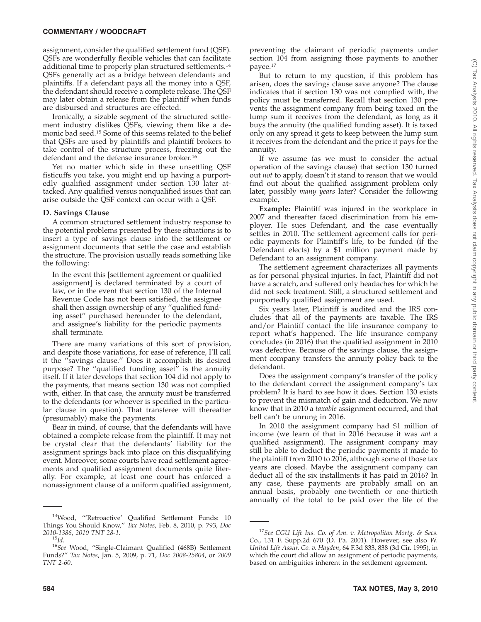#### **COMMENTARY / WOODCRAFT**

assignment, consider the qualified settlement fund (QSF). QSFs are wonderfully flexible vehicles that can facilitate additional time to properly plan structured settlements.14 QSFs generally act as a bridge between defendants and plaintiffs. If a defendant pays all the money into a QSF, the defendant should receive a complete release. The QSF may later obtain a release from the plaintiff when funds are disbursed and structures are effected.

Ironically, a sizable segment of the structured settlement industry dislikes QSFs, viewing them like a demonic bad seed.15 Some of this seems related to the belief that QSFs are used by plaintiffs and plaintiff brokers to take control of the structure process, freezing out the defendant and the defense insurance broker.16

Yet no matter which side in these unsettling QSF fisticuffs you take, you might end up having a purportedly qualified assignment under section 130 later attacked. Any qualified versus nonqualified issues that can arise outside the QSF context can occur with a QSF.

#### **D. Savings Clause**

A common structured settlement industry response to the potential problems presented by these situations is to insert a type of savings clause into the settlement or assignment documents that settle the case and establish the structure. The provision usually reads something like the following:

In the event this [settlement agreement or qualified assignment] is declared terminated by a court of law, or in the event that section 130 of the Internal Revenue Code has not been satisfied, the assignee shall then assign ownership of any ''qualified funding asset'' purchased hereunder to the defendant, and assignee's liability for the periodic payments shall terminate.

There are many variations of this sort of provision, and despite those variations, for ease of reference, I'll call it the ''savings clause.'' Does it accomplish its desired purpose? The ''qualified funding asset'' is the annuity itself. If it later develops that section 104 did not apply to the payments, that means section 130 was not complied with, either. In that case, the annuity must be transferred to the defendants (or whoever is specified in the particular clause in question). That transferee will thereafter (presumably) make the payments.

Bear in mind, of course, that the defendants will have obtained a complete release from the plaintiff. It may not be crystal clear that the defendants' liability for the assignment springs back into place on this disqualifying event. Moreover, some courts have read settlement agreements and qualified assignment documents quite literally. For example, at least one court has enforced a nonassignment clause of a uniform qualified assignment,

preventing the claimant of periodic payments under section 104 from assigning those payments to another payee.17

But to return to my question, if this problem has arisen, does the savings clause save anyone? The clause indicates that if section 130 was not complied with, the policy must be transferred. Recall that section 130 prevents the assignment company from being taxed on the lump sum it receives from the defendant, as long as it buys the annuity (the qualified funding asset). It is taxed only on any spread it gets to keep between the lump sum it receives from the defendant and the price it pays for the annuity.

If we assume (as we must to consider the actual operation of the savings clause) that section 130 turned out *not* to apply, doesn't it stand to reason that we would find out about the qualified assignment problem only later, possibly *many years* later? Consider the following example.

**Example:** Plaintiff was injured in the workplace in 2007 and thereafter faced discrimination from his employer. He sues Defendant, and the case eventually settles in 2010. The settlement agreement calls for periodic payments for Plaintiff's life, to be funded (if the Defendant elects) by a \$1 million payment made by Defendant to an assignment company.

The settlement agreement characterizes all payments as for personal physical injuries. In fact, Plaintiff did not have a scratch, and suffered only headaches for which he did not seek treatment. Still, a structured settlement and purportedly qualified assignment are used.

Six years later, Plaintiff is audited and the IRS concludes that all of the payments are taxable. The IRS and/or Plaintiff contact the life insurance company to report what's happened. The life insurance company concludes (in 2016) that the qualified assignment in 2010 was defective. Because of the savings clause, the assignment company transfers the annuity policy back to the defendant.

Does the assignment company's transfer of the policy to the defendant correct the assignment company's tax problem? It is hard to see how it does. Section 130 exists to prevent the mismatch of gain and deduction. We now know that in 2010 a *taxable* assignment occurred, and that bell can't be unrung in 2016.

In 2010 the assignment company had \$1 million of income (we learn of that in 2016 because it was *not* a qualified assignment). The assignment company may still be able to deduct the periodic payments it made to the plaintiff from 2010 to 2016, although some of those tax years are closed. Maybe the assignment company can deduct all of the six installments it has paid in 2016? In any case, these payments are probably small on an annual basis, probably one-twentieth or one-thirtieth annually of the total to be paid over the life of the

<sup>14</sup>Wood, '''Retroactive' Qualified Settlement Funds: 10 Things You Should Know,'' *Tax Notes*, Feb. 8, 2010, p. 793, *Doc*

*<sup>2010-1386</sup>*, *2010 TNT 28-1.* <sup>15</sup>*Id.* <sup>16</sup>*See* Wood, ''Single-Claimant Qualified (468B) Settlement Funds?'' *Tax Notes*, Jan. 5, 2009, p. 71, *Doc 2008-25804*, or *2009 TNT 2-60*.

<sup>17</sup>*See CGU Life Ins. Co. of Am. v. Metropolitan Mortg. & Secs. C*o., 131 F. Supp.2d 670 (D. Pa. 2001). However, see also *W. United Life Assur. Co. v. Hayden*, 64 F.3d 833, 838 (3d Cir. 1995), in which the court did allow an assignment of periodic payments, based on ambiguities inherent in the settlement agreement.